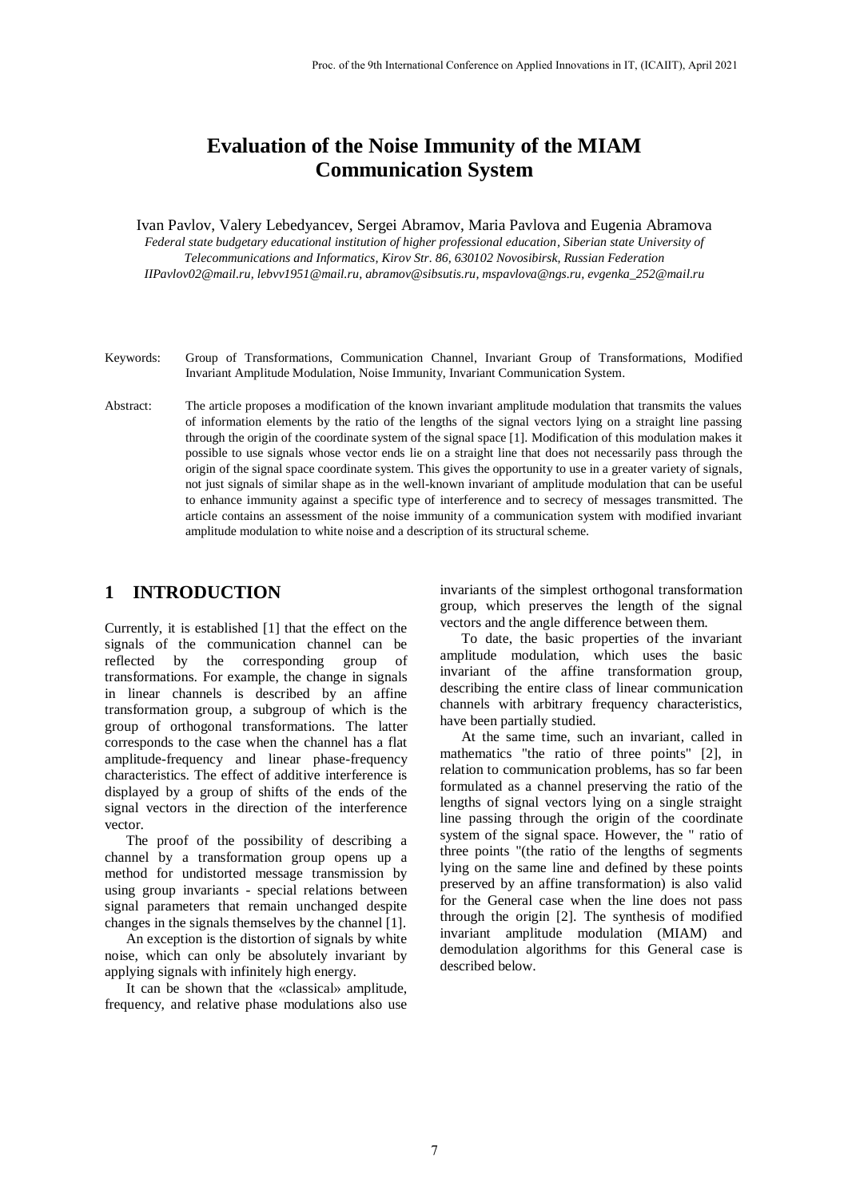# **Evaluation of the Noise Immunity of the MIAM Communication System**

Ivan Pavlov, Valery Lebedyancev, Sergei Abramov, Maria Pavlova and Eugenia Abramova *Federal state budgetary educational institution of higher professional education, Siberian state University of Telecommunications and Informatics, Kirov Str. 86, 630102 Novosibirsk, Russian Federation IIPavlov02@mail.ru, lebvv1951@mail.ru, abramov@sibsutis.ru, mspavlova@ngs.ru, evgenka\_252@mail.ru*

- Keywords: Group of Transformations, Communication Channel, Invariant Group of Transformations, Modified Invariant Amplitude Modulation, Noise Immunity, Invariant Communication System.
- Abstract: The article proposes a modification of the known invariant amplitude modulation that transmits the values of information elements by the ratio of the lengths of the signal vectors lying on a straight line passing through the origin of the coordinate system of the signal space [1]. Modification of this modulation makes it possible to use signals whose vector ends lie on a straight line that does not necessarily pass through the origin of the signal space coordinate system. This gives the opportunity to use in a greater variety of signals, not just signals of similar shape as in the well-known invariant of amplitude modulation that can be useful to enhance immunity against a specific type of interference and to secrecy of messages transmitted. The article contains an assessment of the noise immunity of a communication system with modified invariant amplitude modulation to white noise and a description of its structural scheme.

### **1 INTRODUCTION**

Currently, it is established [1] that the effect on the signals of the communication channel can be reflected by the corresponding group of transformations. For example, the change in signals in linear channels is described by an affine transformation group, a subgroup of which is the group of orthogonal transformations. The latter corresponds to the case when the channel has a flat amplitude-frequency and linear phase-frequency characteristics. The effect of additive interference is displayed by a group of shifts of the ends of the signal vectors in the direction of the interference vector.

The proof of the possibility of describing a channel by a transformation group opens up a method for undistorted message transmission by using group invariants - special relations between signal parameters that remain unchanged despite changes in the signals themselves by the channel [1].

An exception is the distortion of signals by white noise, which can only be absolutely invariant by applying signals with infinitely high energy.

It can be shown that the «classical» amplitude, frequency, and relative phase modulations also use

invariants of the simplest orthogonal transformation group, which preserves the length of the signal vectors and the angle difference between them.

To date, the basic properties of the invariant amplitude modulation, which uses the basic invariant of the affine transformation group, describing the entire class of linear communication channels with arbitrary frequency characteristics, have been partially studied.

At the same time, such an invariant, called in mathematics "the ratio of three points" [2], in relation to communication problems, has so far been formulated as a channel preserving the ratio of the lengths of signal vectors lying on a single straight line passing through the origin of the coordinate system of the signal space. However, the " ratio of three points "(the ratio of the lengths of segments lying on the same line and defined by these points preserved by an affine transformation) is also valid for the General case when the line does not pass through the origin [2]. The synthesis of modified invariant amplitude modulation (MIAM) and demodulation algorithms for this General case is described below.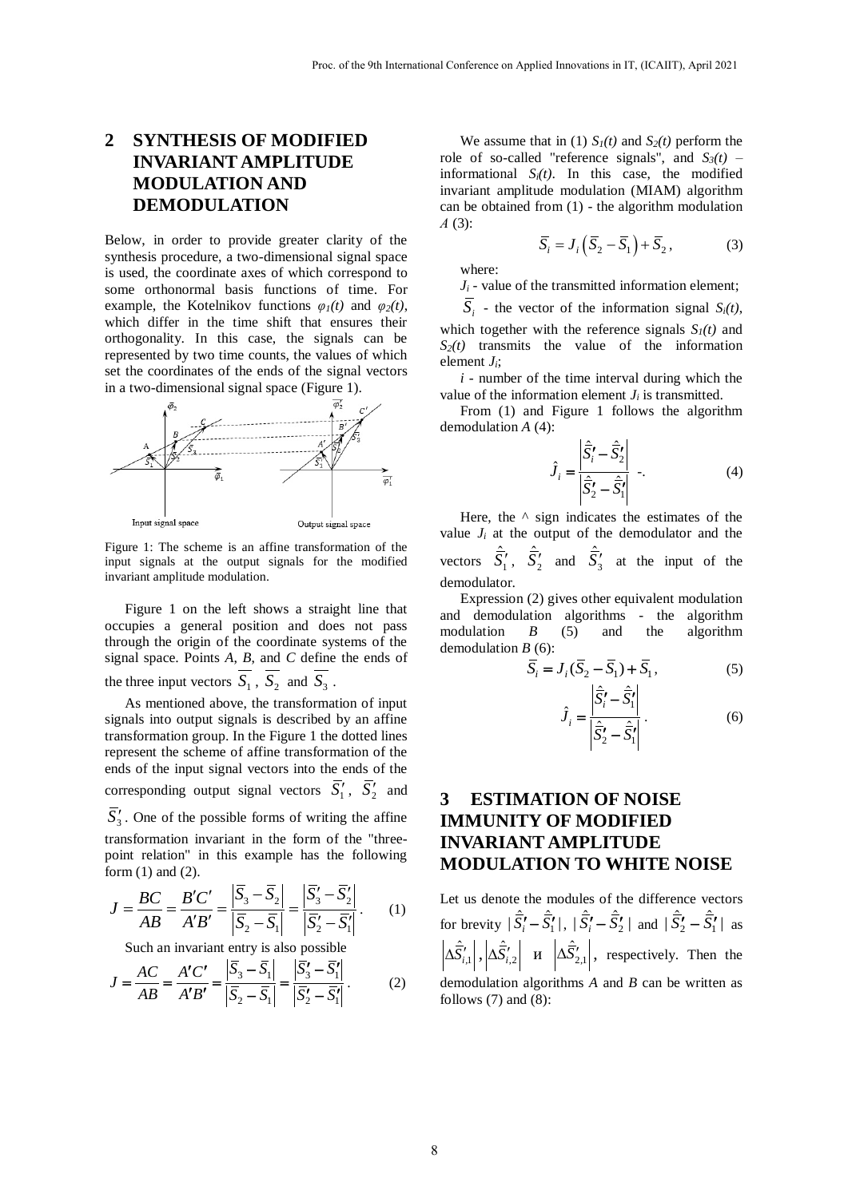## **2 SYNTHESIS OF MODIFIED INVARIANT AMPLITUDE MODULATION AND DEMODULATION**

Below, in order to provide greater clarity of the synthesis procedure, a two-dimensional signal space is used, the coordinate axes of which correspond to some orthonormal basis functions of time. For example, the Kotelnikov functions  $\varphi_1(t)$  and  $\varphi_2(t)$ , which differ in the time shift that ensures their orthogonality. In this case, the signals can be represented by two time counts, the values of which set the coordinates of the ends of the signal vectors in a two-dimensional signal space (Figure 1).



Figure 1: The scheme is an affine transformation of the input signals at the output signals for the modified invariant amplitude modulation.

Figure 1 on the left shows a straight line that occupies a general position and does not pass through the origin of the coordinate systems of the signal space. Points *A*, *B*, and *C* define the ends of the three input vectors  $S_1$ ,  $S_2$  and  $S_3$ .

As mentioned above, the transformation of input signals into output signals is described by an affine transformation group. In the Figure 1 the dotted lines represent the scheme of affine transformation of the ends of the input signal vectors into the ends of the corresponding output signal vectors  $\overline{S}'_1$ ,  $\overline{S}'_2$  and  $\overline{S}'_3$ . One of the possible forms of writing the affine transformation invariant in the form of the "threepoint relation" in this example has the following form (1) and (2).

form (1) and (2).  
\n
$$
J = \frac{BC}{AB} = \frac{B'C'}{A'B'} = \frac{\left|\overline{S}_3 - \overline{S}_2\right|}{\left|\overline{S}_2 - \overline{S}_1\right|} = \frac{\left|\overline{S}_3' - \overline{S}_2'\right|}{\left|\overline{S}_2' - \overline{S}_1'\right|}. \tag{1}
$$

Such an invariant entry is also possible

Such an invariant entry is also possible  
\n
$$
J = \frac{AC}{AB} = \frac{A'C'}{A'B'} = \frac{|\overline{S}_3 - \overline{S}_1|}{|\overline{S}_2 - \overline{S}_1|} = \frac{|\overline{S}_3' - \overline{S}_1'|}{|\overline{S}_2' - \overline{S}_1'|}. \tag{2}
$$

We assume that in (1)  $S_I(t)$  and  $S_2(t)$  perform the role of so-called "reference signals", and  $S_3(t)$  – informational  $S_i(t)$ . In this case, the modified invariant amplitude modulation (MIAM) algorithm can be obtained from (1) - the algorithm modulation *А* (3):

$$
\overline{S}_i = J_i \left( \overline{S}_2 - \overline{S}_1 \right) + \overline{S}_2, \tag{3}
$$

where:

 $J_i$  - value of the transmitted information element;

 $S_i$  - the vector of the information signal  $S_i(t)$ , which together with the reference signals  $S_l(t)$  and  $S_2(t)$  transmits the value of the information element *Ji*;

*i* - number of the time interval during which the value of the information element  $J_i$  is transmitted.

From (1) and Figure 1 follows the algorithm demodulation *A* (4):

$$
\hat{J}_i = \frac{\left| \hat{\vec{S}}_i' - \hat{\vec{S}}_2' \right|}{\left| \hat{\vec{S}}_2' - \hat{\vec{S}}_1' \right|} \quad . \tag{4}
$$

Here, the  $\wedge$  sign indicates the estimates of the value  $J_i$  at the output of the demodulator and the vectors  $\hat{S}_1'$ ,  $\hat{S}_2'$  and  $\hat{S}_3'$  at the input of the demodulator.

Expression (2) gives other equivalent modulation and demodulation algorithms - the algorithm modulation *B* (5) and the algorithm demodulation *B* (6):

$$
\overline{S}_i = J_i(\overline{S}_2 - \overline{S}_1) + \overline{S}_1, \tag{5}
$$

$$
\hat{J}_i = \frac{\left| \hat{\vec{S}}_i' - \hat{\vec{S}}_1' \right|}{\left| \hat{\vec{S}}_2' - \hat{\vec{S}}_1' \right|}.
$$
\n(6)

### **3 ESTIMATION OF NOISE IMMUNITY OF MODIFIED INVARIANT AMPLITUDE MODULATION TO WHITE NOISE**

Let us denote the modules of the difference vectors for brevity  $|\hat{\vec{S}}'_i - \hat{\vec{S}}'_i|$ ,  $|\hat{\vec{S}}'_i - \hat{\vec{S}}'_2|$  and  $|\hat{\vec{S}}'_2 - \hat{\vec{S}}'_1|$  as  $\Delta \hat{S}_{i,1}^{\prime} |$ ,  $\Delta \hat{S}_{i,2}^{\prime} |$  *u*  $\Delta \hat{S}_{2,1}^{\prime} |$ , respectively. Then the demodulation algorithms *A* and *B* can be written as follows  $(7)$  and  $(8)$ :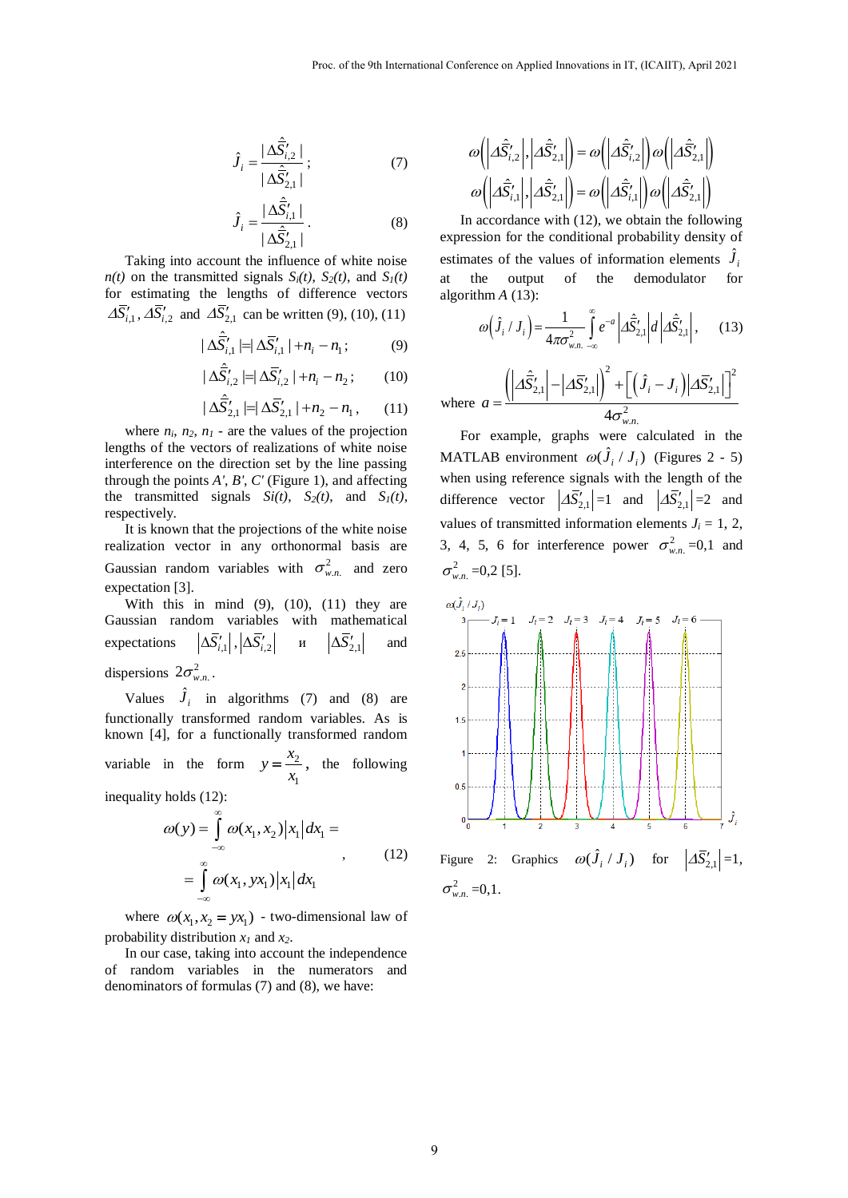$$
\hat{J}_i = \frac{|\Delta \hat{\vec{S}}'_{i,2}|}{|\Delta \hat{\vec{S}}'_{2,1}|};
$$
\n(7)

$$
\hat{J}_i = \frac{|\Delta \hat{\vec{S}}'_{i,1}|}{|\Delta \hat{\vec{S}}'_{2,1}|}.
$$
\n(8)

Taking into account the influence of white noise *n*(*t*) on the transmitted signals  $S_i(t)$ ,  $S_2(t)$ , and  $S_1(t)$ for estimating the lengths of difference vectors  $\Delta \overline{S}'_{i,1}$ ,  $\Delta \overline{S}'_{i,2}$  and  $\Delta \overline{S}'_{2,1}$  can be written (9), (10), (11)

$$
|\Delta \hat{\overline{S}}'_{i,1}| = |\Delta \overline{S}'_{i,1}| + n_i - n_1; \tag{9}
$$

$$
|\Delta \hat{\overline{S}}'_{i,2}| = |\Delta \overline{S}'_{i,2}| + n_i - n_2; \qquad (10)
$$

$$
|\Delta \hat{S}'_{2,1}| = |\Delta \overline{S}'_{2,1}| + n_2 - n_1, \qquad (11)
$$

where  $n_i$ ,  $n_2$ ,  $n_1$  - are the values of the projection lengths of the vectors of realizations of white noise interference on the direction set by the line passing through the points *A'*, *B'*, *C'* (Figure 1), and affecting the transmitted signals  $Si(t)$ ,  $S_2(t)$ , and  $S_1(t)$ , respectively.

It is known that the projections of the white noise realization vector in any orthonormal basis are Gaussian random variables with  $\sigma_{w,n}^2$  and zero expectation [3].

With this in mind  $(9)$ ,  $(10)$ ,  $(11)$  they are Gaussian random variables with mathematical expectations  $\Delta \bar{S}^{\prime}_{i,1} \big|$  ,  $\big| \Delta \bar{S}^{\prime}_{i,2}$ и  $|\Delta S'_{2,1}|$ and dispersions  $2\sigma_{w.n.}^2$ .

Values  $\hat{J}_i$  in algorithms (7) and (8) are functionally transformed random variables. As is known [4], for a functionally transformed random variable in the form  $y = \frac{\lambda_2}{\lambda_1}$ 1  $y = \frac{x}{x}$ *x*  $=\frac{\lambda_2}{\lambda_1}$ , the following

inequality holds (12):

$$
\omega(y) = \int_{-\infty}^{\infty} \omega(x_1, x_2) |x_1| dx_1 =
$$
  
= 
$$
\int_{-\infty}^{\infty} \omega(x_1, yx_1) |x_1| dx_1
$$
 (12)

where  $\omega(x_1, x_2 = yx_1)$  - two-dimensional law of probability distribution *x1* and *x2*.

In our case, taking into account the independence of random variables in the numerators and denominators of formulas (7) and (8), we have:

$$
\omega\left(\left|\Delta\hat{\vec{S}}'_{i,2}\right|, \left|\Delta\hat{\vec{S}}'_{2,1}\right|\right) = \omega\left(\left|\Delta\hat{\vec{S}}'_{i,2}\right|\right)\omega\left(\left|\Delta\hat{\vec{S}}'_{2,1}\right|\right)
$$

$$
\omega\left(\left|\Delta\hat{\vec{S}}'_{i,1}\right|, \left|\Delta\hat{\vec{S}}'_{2,1}\right|\right) = \omega\left(\left|\Delta\hat{\vec{S}}'_{i,1}\right|\right)\omega\left(\left|\Delta\hat{\vec{S}}'_{2,1}\right|\right)
$$

In accordance with (12), we obtain the following expression for the conditional probability density of estimates of the values of information elements  $\hat{J}_i$ at the output of the demodulator for algorithm *A* (13):

$$
\text{h m } A \text{ (13):} \\
\omega \Big( \hat{J}_i / J_i \Big) = \frac{1}{4\pi \sigma_{w.n. -\infty}^2} \int_{-\infty}^{\infty} e^{-a} \left| A \hat{S}_{2,1}' \right| d \left| A \hat{S}_{2,1}' \right|, \quad (13)
$$

$$
(i + i) 4\pi\sigma_{w.n.}^2 \rightarrow 2i + 2i + 2i + 2i
$$
  
where 
$$
a = \frac{(\left| \Delta \hat{S}_{2,1}' \right| - \left| \Delta \bar{S}_{2,1}' \right|)^2 + \left[ (\hat{J}_i - J_i) \left| \Delta \bar{S}_{2,1}' \right| \right]^2}{4\sigma_{w.n.}^2}
$$

For example, graphs were calculated in the MATLAB environment  $\omega(\hat{J}_i / J_i)$  (Figures 2 - 5) when using reference signals with the length of the difference vector  $|\Delta \overline{S}'_{2,1}| = 1$  and  $|\Delta \overline{S}'_{2,1}| = 2$  and values of transmitted information elements  $J_i = 1, 2,$ 3, 4, 5, 6 for interference power  $\sigma_{w,n}^2$  =0,1 and  $\sigma_{w,n}^2$  =0,2 [5].



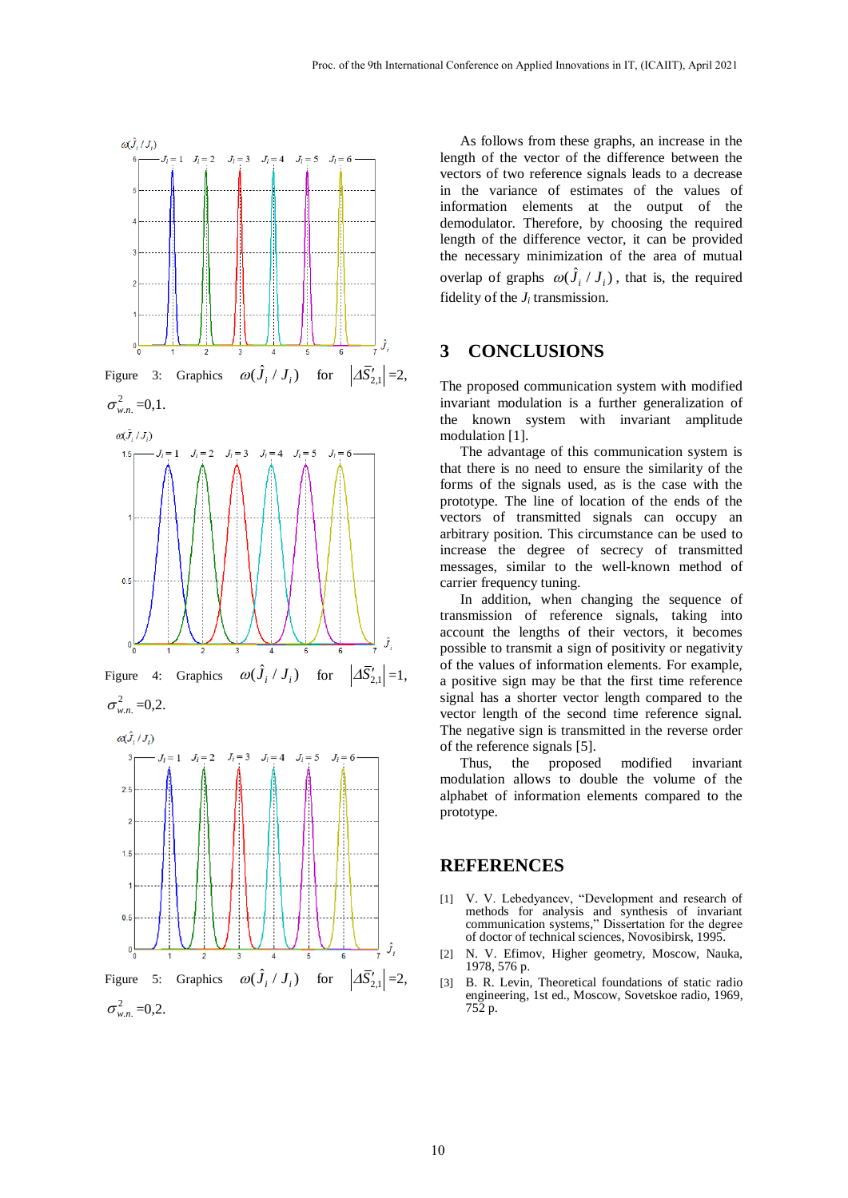

As follows from these graphs, an increase in the length of the vector of the difference between the vectors of two reference signals leads to a decrease in the variance of estimates of the values of information elements at the output of the demodulator. Therefore, by choosing the required length of the difference vector, it can be provided the necessary minimization of the area of mutual overlap of graphs  $\omega(\hat{J}_i / J_i)$ , that is, the required fidelity of the  $J_i$  transmission.

### **3 CONCLUSIONS**

The proposed communication system with modified invariant modulation is a further generalization of the known system with invariant amplitude modulation [1].

The advantage of this communication system is that there is no need to ensure the similarity of the forms of the signals used, as is the case with the prototype. The line of location of the ends of the vectors of transmitted signals can occupy an arbitrary position. This circumstance can be used to increase the degree of secrecy of transmitted messages, similar to the well-known method of carrier frequency tuning.

In addition, when changing the sequence of transmission of reference signals, taking into account the lengths of their vectors, it becomes possible to transmit a sign of positivity or negativity of the values of information elements. For example, a positive sign may be that the first time reference signal has a shorter vector length compared to the vector length of the second time reference signal. The negative sign is transmitted in the reverse order of the reference signals [5].

Thus, the proposed modified invariant modulation allows to double the volume of the alphabet of information elements compared to the prototype.

#### **REFERENCES**

- [1] V. V. Lebedyancev, "Development and research of methods for analysis and synthesis of invariant communication systems," Dissertation for the degree of doctor of technical sciences, Novosibirsk, 1995.
- [2] N. V. Efimov, Higher geometry, Moscow, Nauka, 1978, 576 p.
- [3] B. R. Levin, Theoretical foundations of static radio engineering, 1st ed., Moscow, Sovetskoe radio, 1969, 752 p.